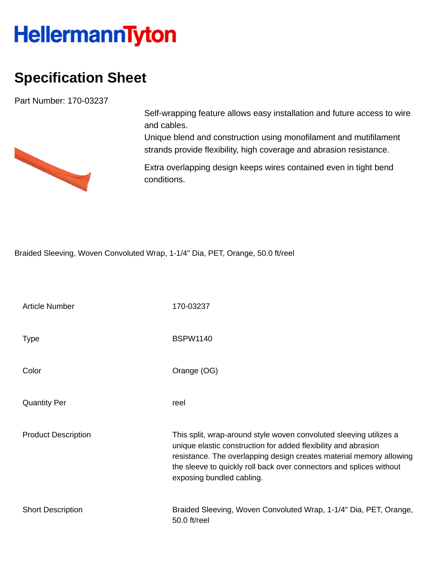## **HellermannTyton**

## **Specification Sheet**

Part Number: 170-03237



Self-wrapping feature allows easy installation and future access to wire and cables.

Unique blend and construction using monofilament and mutifilament strands provide flexibility, high coverage and abrasion resistance.

Extra overlapping design keeps wires contained even in tight bend conditions.

Braided Sleeving, Woven Convoluted Wrap, 1-1/4" Dia, PET, Orange, 50.0 ft/reel

| <b>Article Number</b>      | 170-03237                                                                                                                                                                                                                                                                                                       |
|----------------------------|-----------------------------------------------------------------------------------------------------------------------------------------------------------------------------------------------------------------------------------------------------------------------------------------------------------------|
| <b>Type</b>                | <b>BSPW1140</b>                                                                                                                                                                                                                                                                                                 |
| Color                      | Orange (OG)                                                                                                                                                                                                                                                                                                     |
| <b>Quantity Per</b>        | reel                                                                                                                                                                                                                                                                                                            |
| <b>Product Description</b> | This split, wrap-around style woven convoluted sleeving utilizes a<br>unique elastic construction for added flexibility and abrasion<br>resistance. The overlapping design creates material memory allowing<br>the sleeve to quickly roll back over connectors and splices without<br>exposing bundled cabling. |
| <b>Short Description</b>   | Braided Sleeving, Woven Convoluted Wrap, 1-1/4" Dia, PET, Orange,<br>50.0 ft/reel                                                                                                                                                                                                                               |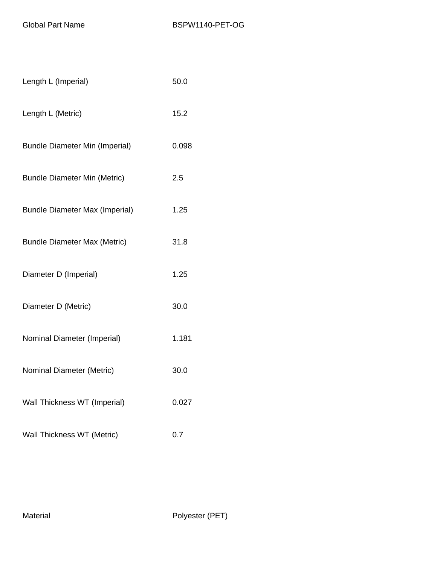| Length L (Imperial)                   | 50.0  |
|---------------------------------------|-------|
| Length L (Metric)                     | 15.2  |
| <b>Bundle Diameter Min (Imperial)</b> | 0.098 |
| <b>Bundle Diameter Min (Metric)</b>   | 2.5   |
| <b>Bundle Diameter Max (Imperial)</b> | 1.25  |
| <b>Bundle Diameter Max (Metric)</b>   | 31.8  |
| Diameter D (Imperial)                 | 1.25  |
| Diameter D (Metric)                   | 30.0  |
| Nominal Diameter (Imperial)           | 1.181 |
| Nominal Diameter (Metric)             | 30.0  |
| Wall Thickness WT (Imperial)          | 0.027 |
| Wall Thickness WT (Metric)            | 0.7   |